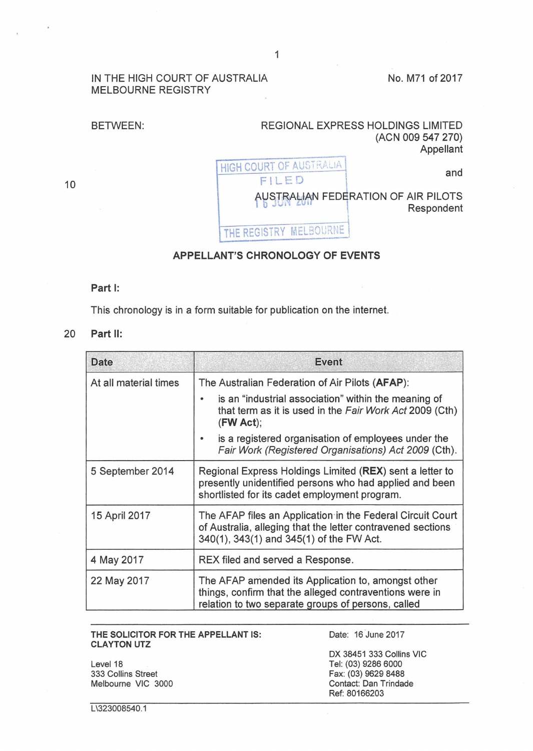## IN THE HIGH COURT OF AUSTRALIA MELBOURNE REGISTRY

No. M71 of 2017

## BETWEEN: REGIONAL EXPRESS HOLDINGS LIMITED (ACN 009 547 270) Appellant HIGH COURT OF AUSTRALIA FILED and AUSTRALIAN FEDERATION OF AIR PILOTS<br>Respondent

# APPELLANT'S CHRONOLOGY OF EVENTS

THE REGISTRY MELBOURNE

### Part I:

This chronology is in a form suitable for publication on the internet.

### 20 Part 11:

| <b>Date</b>           | Event                                                                                                                                                                           |
|-----------------------|---------------------------------------------------------------------------------------------------------------------------------------------------------------------------------|
| At all material times | The Australian Federation of Air Pilots (AFAP):<br>is an "industrial association" within the meaning of<br>that term as it is used in the Fair Work Act 2009 (Cth)<br>(FW Act); |
|                       | is a registered organisation of employees under the<br>Fair Work (Registered Organisations) Act 2009 (Cth).                                                                     |
| 5 September 2014      | Regional Express Holdings Limited (REX) sent a letter to<br>presently unidentified persons who had applied and been<br>shortlisted for its cadet employment program.            |
| 15 April 2017         | The AFAP files an Application in the Federal Circuit Court<br>of Australia, alleging that the letter contravened sections<br>340(1), 343(1) and 345(1) of the FW Act.           |
| 4 May 2017            | REX filed and served a Response.                                                                                                                                                |
| 22 May 2017           | The AFAP amended its Application to, amongst other<br>things, confirm that the alleged contraventions were in<br>relation to two separate groups of persons, called             |

#### THE SOLICITOR FOR THE APPELLANT IS: Date: 16 June 2017 CLAYTON UTZ

Level 18 333 Collins Street Melbourne VIC 3000

OX 38451 333 Collins VIC Tel: (03) 9286 6000 Fax: (03) 9629 8488 Contact: Dan Trindade Ref: 80166203

10

L\323008540.1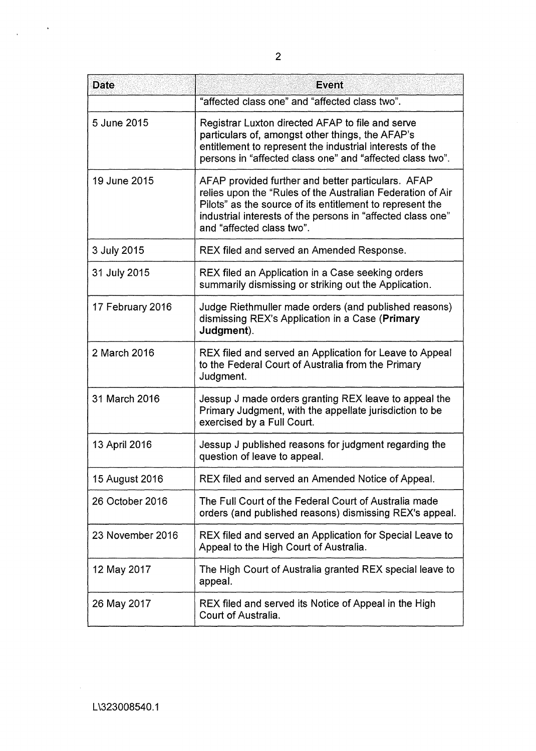| <b>Date</b>      | <b>Event</b>                                                                                                                                                                                                                                                              |
|------------------|---------------------------------------------------------------------------------------------------------------------------------------------------------------------------------------------------------------------------------------------------------------------------|
|                  | "affected class one" and "affected class two".                                                                                                                                                                                                                            |
| 5 June 2015      | Registrar Luxton directed AFAP to file and serve<br>particulars of, amongst other things, the AFAP's<br>entitlement to represent the industrial interests of the<br>persons in "affected class one" and "affected class two".                                             |
| 19 June 2015     | AFAP provided further and better particulars. AFAP<br>relies upon the "Rules of the Australian Federation of Air<br>Pilots" as the source of its entitlement to represent the<br>industrial interests of the persons in "affected class one"<br>and "affected class two". |
| 3 July 2015      | REX filed and served an Amended Response.                                                                                                                                                                                                                                 |
| 31 July 2015     | REX filed an Application in a Case seeking orders<br>summarily dismissing or striking out the Application.                                                                                                                                                                |
| 17 February 2016 | Judge Riethmuller made orders (and published reasons)<br>dismissing REX's Application in a Case (Primary<br>Judgment).                                                                                                                                                    |
| 2 March 2016     | REX filed and served an Application for Leave to Appeal<br>to the Federal Court of Australia from the Primary<br>Judgment.                                                                                                                                                |
| 31 March 2016    | Jessup J made orders granting REX leave to appeal the<br>Primary Judgment, with the appellate jurisdiction to be<br>exercised by a Full Court.                                                                                                                            |
| 13 April 2016    | Jessup J published reasons for judgment regarding the<br>question of leave to appeal.                                                                                                                                                                                     |
| 15 August 2016   | REX filed and served an Amended Notice of Appeal.                                                                                                                                                                                                                         |
| 26 October 2016  | The Full Court of the Federal Court of Australia made<br>orders (and published reasons) dismissing REX's appeal.                                                                                                                                                          |
| 23 November 2016 | REX filed and served an Application for Special Leave to<br>Appeal to the High Court of Australia.                                                                                                                                                                        |
| 12 May 2017      | The High Court of Australia granted REX special leave to<br>appeal.                                                                                                                                                                                                       |
| 26 May 2017      | REX filed and served its Notice of Appeal in the High<br>Court of Australia.                                                                                                                                                                                              |

 $\bar{\phantom{a}}$ 

 $\ddot{\phantom{1}}$